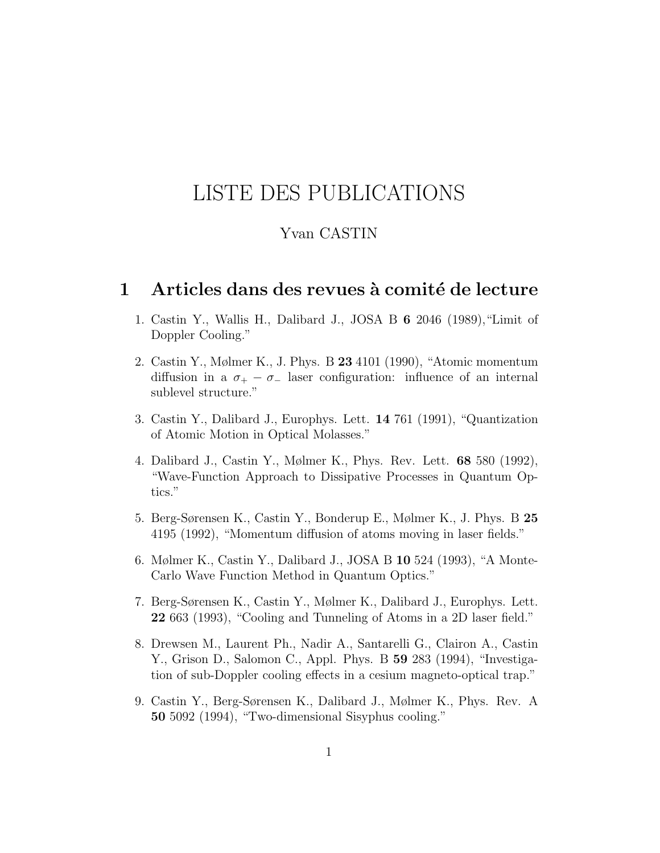# <span id="page-0-0"></span>LISTE DES PUBLICATIONS

## Yvan CASTIN

#### 1 Articles dans des revues à comité de lecture

- 1. Castin Y., Wallis H., Dalibard J., JOSA B 6 2046 (1989),"Limit of Doppler Cooling."
- 2. Castin Y., Mølmer K., J. Phys. B 23 4101 (1990), "Atomic momentum diffusion in a  $\sigma_+ - \sigma_-$  laser configuration: influence of an internal sublevel structure."
- 3. Castin Y., Dalibard J., Europhys. Lett. 14 761 (1991), "Quantization of Atomic Motion in Optical Molasses."
- 4. Dalibard J., Castin Y., Mølmer K., Phys. Rev. Lett. 68 580 (1992), "Wave-Function Approach to Dissipative Processes in Quantum Optics."
- 5. Berg-Sørensen K., Castin Y., Bonderup E., Mølmer K., J. Phys. B 25 4195 (1992), "Momentum diffusion of atoms moving in laser fields."
- 6. Mølmer K., Castin Y., Dalibard J., JOSA B 10 524 (1993), "A Monte-Carlo Wave Function Method in Quantum Optics."
- 7. Berg-Sørensen K., Castin Y., Mølmer K., Dalibard J., Europhys. Lett. 22 663 (1993), "Cooling and Tunneling of Atoms in a 2D laser field."
- 8. Drewsen M., Laurent Ph., Nadir A., Santarelli G., Clairon A., Castin Y., Grison D., Salomon C., Appl. Phys. B 59 283 (1994), "Investigation of sub-Doppler cooling effects in a cesium magneto-optical trap."
- 9. Castin Y., Berg-Sørensen K., Dalibard J., Mølmer K., Phys. Rev. A 50 5092 (1994), "Two-dimensional Sisyphus cooling."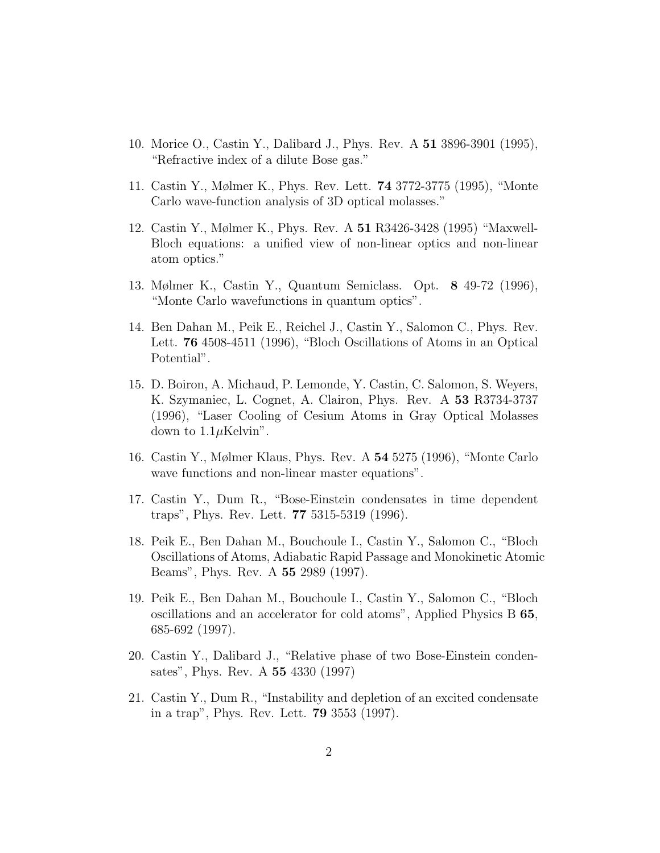- 10. Morice O., Castin Y., Dalibard J., Phys. Rev. A 51 3896-3901 (1995), "Refractive index of a dilute Bose gas."
- 11. Castin Y., Mølmer K., Phys. Rev. Lett. 74 3772-3775 (1995), "Monte Carlo wave-function analysis of 3D optical molasses."
- 12. Castin Y., Mølmer K., Phys. Rev. A 51 R3426-3428 (1995) "Maxwell-Bloch equations: a unified view of non-linear optics and non-linear atom optics."
- 13. Mølmer K., Castin Y., Quantum Semiclass. Opt. 8 49-72 (1996), "Monte Carlo wavefunctions in quantum optics".
- 14. Ben Dahan M., Peik E., Reichel J., Castin Y., Salomon C., Phys. Rev. Lett. 76 4508-4511 (1996), "Bloch Oscillations of Atoms in an Optical Potential".
- 15. D. Boiron, A. Michaud, P. Lemonde, Y. Castin, C. Salomon, S. Weyers, K. Szymaniec, L. Cognet, A. Clairon, Phys. Rev. A 53 R3734-3737 (1996), "Laser Cooling of Cesium Atoms in Gray Optical Molasses down to  $1.1 \mu$ Kelvin".
- 16. Castin Y., Mølmer Klaus, Phys. Rev. A 54 5275 (1996), "Monte Carlo wave functions and non-linear master equations".
- 17. Castin Y., Dum R., "Bose-Einstein condensates in time dependent traps", Phys. Rev. Lett. 77 5315-5319 (1996).
- 18. Peik E., Ben Dahan M., Bouchoule I., Castin Y., Salomon C., "Bloch Oscillations of Atoms, Adiabatic Rapid Passage and Monokinetic Atomic Beams", Phys. Rev. A 55 2989 (1997).
- 19. Peik E., Ben Dahan M., Bouchoule I., Castin Y., Salomon C., "Bloch oscillations and an accelerator for cold atoms", Applied Physics B 65, 685-692 (1997).
- 20. Castin Y., Dalibard J., "Relative phase of two Bose-Einstein condensates", Phys. Rev. A 55 4330 (1997)
- 21. Castin Y., Dum R., "Instability and depletion of an excited condensate in a trap", Phys. Rev. Lett. 79 3553 (1997).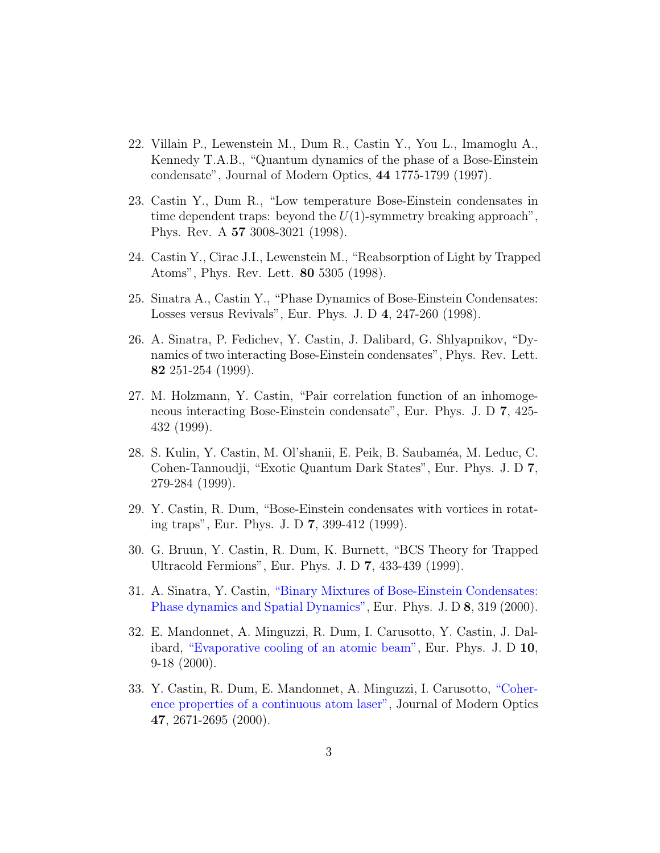- 22. Villain P., Lewenstein M., Dum R., Castin Y., You L., Imamoglu A., Kennedy T.A.B., "Quantum dynamics of the phase of a Bose-Einstein condensate", Journal of Modern Optics, 44 1775-1799 (1997).
- 23. Castin Y., Dum R., "Low temperature Bose-Einstein condensates in time dependent traps: beyond the  $U(1)$ -symmetry breaking approach", Phys. Rev. A 57 3008-3021 (1998).
- 24. Castin Y., Cirac J.I., Lewenstein M., "Reabsorption of Light by Trapped Atoms", Phys. Rev. Lett. 80 5305 (1998).
- 25. Sinatra A., Castin Y., "Phase Dynamics of Bose-Einstein Condensates: Losses versus Revivals", Eur. Phys. J. D 4, 247-260 (1998).
- 26. A. Sinatra, P. Fedichev, Y. Castin, J. Dalibard, G. Shlyapnikov, "Dynamics of two interacting Bose-Einstein condensates", Phys. Rev. Lett. 82 251-254 (1999).
- 27. M. Holzmann, Y. Castin, "Pair correlation function of an inhomogeneous interacting Bose-Einstein condensate", Eur. Phys. J. D 7, 425- 432 (1999).
- 28. S. Kulin, Y. Castin, M. Ol'shanii, E. Peik, B. Saubam´ea, M. Leduc, C. Cohen-Tannoudji, "Exotic Quantum Dark States", Eur. Phys. J. D 7, 279-284 (1999).
- 29. Y. Castin, R. Dum, "Bose-Einstein condensates with vortices in rotating traps", Eur. Phys. J. D 7, 399-412 (1999).
- 30. G. Bruun, Y. Castin, R. Dum, K. Burnett, "BCS Theory for Trapped Ultracold Fermions", Eur. Phys. J. D 7, 433-439 (1999).
- 31. A. Sinatra, Y. Castin, ["Binary Mixtures of Bose-Einstein Condensates:](https://hal.archives-ouvertes.fr/hal-01312966) [Phase dynamics and Spatial Dynamics",](https://hal.archives-ouvertes.fr/hal-01312966) Eur. Phys. J. D 8, 319 (2000).
- 32. E. Mandonnet, A. Minguzzi, R. Dum, I. Carusotto, Y. Castin, J. Dalibard, ["Evaporative cooling of an atomic beam",](https://hal.archives-ouvertes.fr/hal-00002118) Eur. Phys. J. D 10, 9-18 (2000).
- 33. Y. Castin, R. Dum, E. Mandonnet, A. Minguzzi, I. Carusotto, ["Coher](https://hal.archives-ouvertes.fr/hal-00002120)[ence properties of a continuous atom laser",](https://hal.archives-ouvertes.fr/hal-00002120) Journal of Modern Optics 47, 2671-2695 (2000).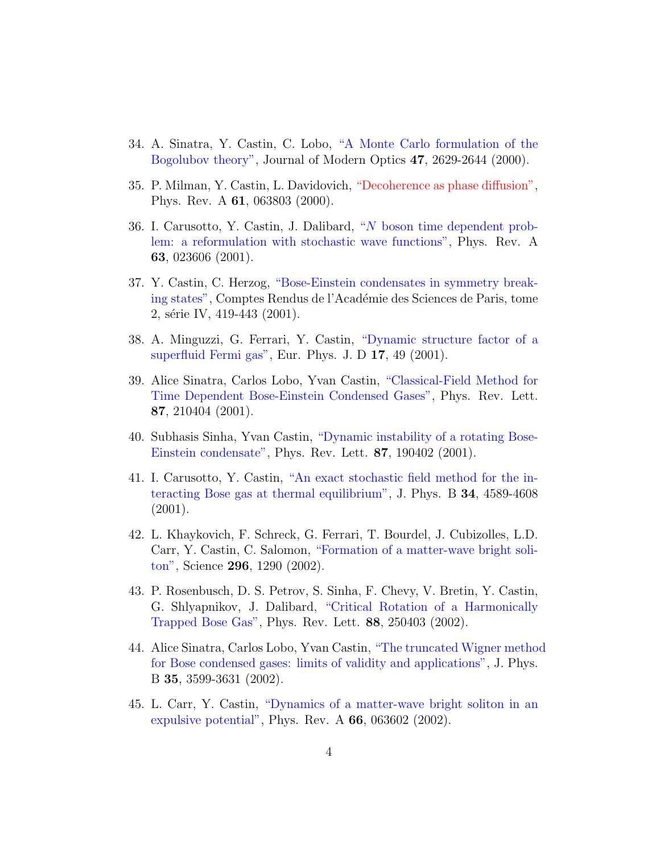- 34. A. Sinatra, Y. Castin, C. Lobo, ["A Monte Carlo formulation of the](https://hal.archives-ouvertes.fr/hal-00002454) [Bogolubov theory",](https://hal.archives-ouvertes.fr/hal-00002454) Journal of Modern Optics 47, 2629-2644 (2000).
- 35. P. Milman, Y. Castin, L. Davidovich, ["Decoherence as phase diffusion",](#page-0-0) Phys. Rev. A 61, 063803 (2000).
- 36. I. Carusotto, Y. Castin, J. Dalibard, "N [boson time dependent prob](https://hal.archives-ouvertes.fr/hal-00002090)[lem: a reformulation with stochastic wave functions",](https://hal.archives-ouvertes.fr/hal-00002090) Phys. Rev. A 63, 023606 (2001).
- 37. Y. Castin, C. Herzog, ["Bose-Einstein condensates in symmetry break](https://hal.archives-ouvertes.fr/hal-00002453)[ing states",](https://hal.archives-ouvertes.fr/hal-00002453) Comptes Rendus de l'Académie des Sciences de Paris, tome 2, série IV, 419-443 (2001).
- 38. A. Minguzzi, G. Ferrari, Y. Castin, ["Dynamic structure factor of a](https://hal.archives-ouvertes.fr/hal-01312856) [superfluid Fermi gas",](https://hal.archives-ouvertes.fr/hal-01312856) Eur. Phys. J. D 17, 49 (2001).
- 39. Alice Sinatra, Carlos Lobo, Yvan Castin, ["Classical-Field Method for](https://hal.archives-ouvertes.fr/hal-00002092) [Time Dependent Bose-Einstein Condensed Gases",](https://hal.archives-ouvertes.fr/hal-00002092) Phys. Rev. Lett. 87, 210404 (2001).
- 40. Subhasis Sinha, Yvan Castin, ["Dynamic instability of a rotating Bose-](https://hal.archives-ouvertes.fr/hal-00002093)[Einstein condensate",](https://hal.archives-ouvertes.fr/hal-00002093) Phys. Rev. Lett. 87, 190402 (2001).
- 41. I. Carusotto, Y. Castin, ["An exact stochastic field method for the in](https://hal.archives-ouvertes.fr/hal-00002094)[teracting Bose gas at thermal equilibrium",](https://hal.archives-ouvertes.fr/hal-00002094) J. Phys. B 34, 4589-4608 (2001).
- 42. L. Khaykovich, F. Schreck, G. Ferrari, T. Bourdel, J. Cubizolles, L.D. Carr, Y. Castin, C. Salomon, ["Formation of a matter-wave bright soli](https://hal.archives-ouvertes.fr/hal-00001628)[ton",](https://hal.archives-ouvertes.fr/hal-00001628) Science 296, 1290 (2002).
- 43. P. Rosenbusch, D. S. Petrov, S. Sinha, F. Chevy, V. Bretin, Y. Castin, G. Shlyapnikov, J. Dalibard, ["Critical Rotation of a Harmonically](https://hal.archives-ouvertes.fr/hal-00002249) [Trapped Bose Gas",](https://hal.archives-ouvertes.fr/hal-00002249) Phys. Rev. Lett. 88, 250403 (2002).
- 44. Alice Sinatra, Carlos Lobo, Yvan Castin, ["The truncated Wigner method](https://hal.archives-ouvertes.fr/hal-00002253) [for Bose condensed gases: limits of validity and applications",](https://hal.archives-ouvertes.fr/hal-00002253) J. Phys. B 35, 3599-3631 (2002).
- 45. L. Carr, Y. Castin, ["Dynamics of a matter-wave bright soliton in an](https://hal.archives-ouvertes.fr/hal-00002377) [expulsive potential",](https://hal.archives-ouvertes.fr/hal-00002377) Phys. Rev. A 66, 063602 (2002).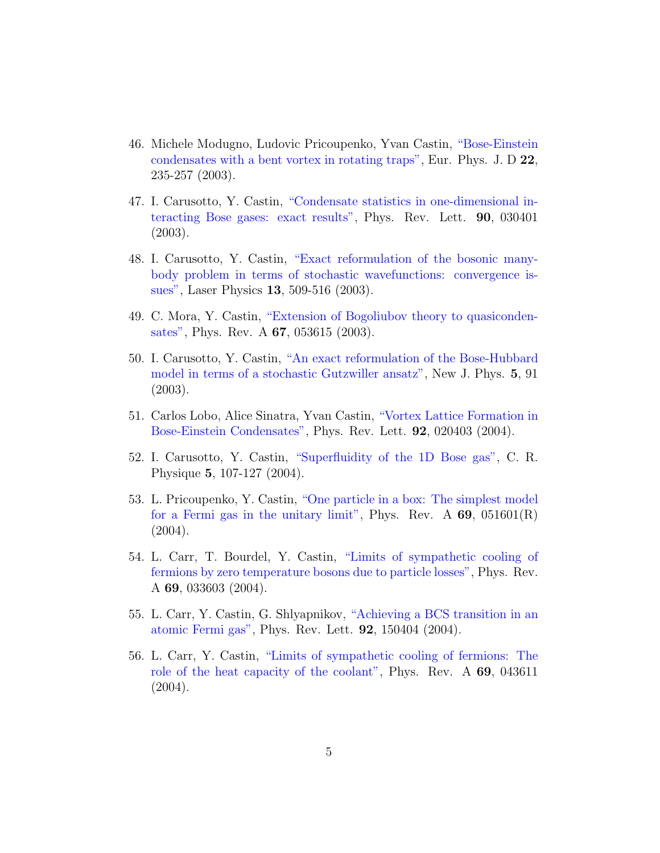- 46. Michele Modugno, Ludovic Pricoupenko, Yvan Castin, ["Bose-Einstein](https://hal.archives-ouvertes.fr/hal-00002391) [condensates with a bent vortex in rotating traps",](https://hal.archives-ouvertes.fr/hal-00002391) Eur. Phys. J. D 22, 235-257 (2003).
- 47. I. Carusotto, Y. Castin, ["Condensate statistics in one-dimensional in](https://hal.archives-ouvertes.fr/hal-00001441)[teracting Bose gases: exact results",](https://hal.archives-ouvertes.fr/hal-00001441) Phys. Rev. Lett. 90, 030401 (2003).
- 48. I. Carusotto, Y. Castin, ["Exact reformulation of the bosonic many](https://hal.archives-ouvertes.fr/hal-00001577)[body problem in terms of stochastic wavefunctions: convergence is](https://hal.archives-ouvertes.fr/hal-00001577)[sues",](https://hal.archives-ouvertes.fr/hal-00001577) Laser Physics 13, 509-516 (2003).
- 49. C. Mora, Y. Castin, ["Extension of Bogoliubov theory to quasiconden](https://hal.archives-ouvertes.fr/hal-00157445)[sates",](https://hal.archives-ouvertes.fr/hal-00157445) Phys. Rev. A 67, 053615 (2003).
- 50. I. Carusotto, Y. Castin, ["An exact reformulation of the Bose-Hubbard](https://hal.archives-ouvertes.fr/hal-00001579) [model in terms of a stochastic Gutzwiller ansatz",](https://hal.archives-ouvertes.fr/hal-00001579) New J. Phys. 5, 91 (2003).
- 51. Carlos Lobo, Alice Sinatra, Yvan Castin, ["Vortex Lattice Formation in](https://hal.archives-ouvertes.fr/hal-00002442) [Bose-Einstein Condensates",](https://hal.archives-ouvertes.fr/hal-00002442) Phys. Rev. Lett. 92, 020403 (2004).
- 52. I. Carusotto, Y. Castin, ["Superfluidity of the 1D Bose gas",](https://hal.archives-ouvertes.fr/hal-00000886) C. R. Physique 5, 107-127 (2004).
- 53. L. Pricoupenko, Y. Castin, ["One particle in a box: The simplest model](https://hal.archives-ouvertes.fr/hal-00000547) [for a Fermi gas in the unitary limit",](https://hal.archives-ouvertes.fr/hal-00000547) Phys. Rev. A  $69$ ,  $051601(R)$ (2004).
- 54. L. Carr, T. Bourdel, Y. Castin, ["Limits of sympathetic cooling of](https://hal.archives-ouvertes.fr/hal-00002441) [fermions by zero temperature bosons due to particle losses",](https://hal.archives-ouvertes.fr/hal-00002441) Phys. Rev. A 69, 033603 (2004).
- 55. L. Carr, Y. Castin, G. Shlyapnikov, ["Achieving a BCS transition in an](https://hal.archives-ouvertes.fr/hal-00002433) [atomic Fermi gas",](https://hal.archives-ouvertes.fr/hal-00002433) Phys. Rev. Lett. 92, 150404 (2004).
- 56. L. Carr, Y. Castin, ["Limits of sympathetic cooling of fermions: The](https://hal.archives-ouvertes.fr/hal-00002432) [role of the heat capacity of the coolant",](https://hal.archives-ouvertes.fr/hal-00002432) Phys. Rev. A 69, 043611 (2004).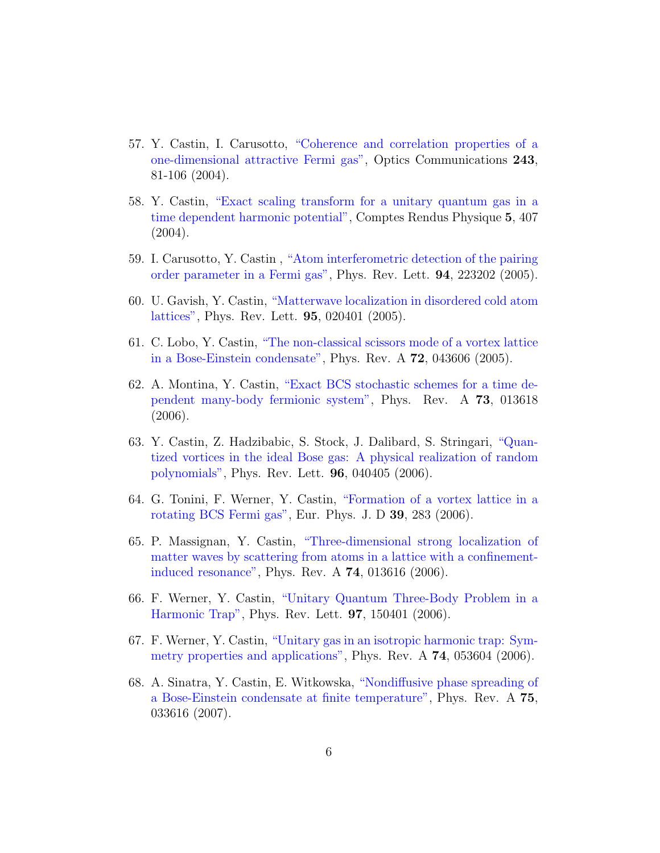- 57. Y. Castin, I. Carusotto, ["Coherence and correlation properties of a](https://hal.archives-ouvertes.fr/hal-00001419) [one-dimensional attractive Fermi gas",](https://hal.archives-ouvertes.fr/hal-00001419) Optics Communications 243, 81-106 (2004).
- 58. Y. Castin, ["Exact scaling transform for a unitary quantum gas in a](https://hal.archives-ouvertes.fr/hal-00001653) [time dependent harmonic potential",](https://hal.archives-ouvertes.fr/hal-00001653) Comptes Rendus Physique 5, 407 (2004).
- 59. I. Carusotto, Y. Castin , ["Atom interferometric detection of the pairing](https://hal.archives-ouvertes.fr/hal-00003207) [order parameter in a Fermi gas",](https://hal.archives-ouvertes.fr/hal-00003207) Phys. Rev. Lett. 94, 223202 (2005).
- 60. U. Gavish, Y. Castin, ["Matterwave localization in disordered cold atom](https://hal.archives-ouvertes.fr/hal-00008964) [lattices",](https://hal.archives-ouvertes.fr/hal-00008964) Phys. Rev. Lett. 95, 020401 (2005).
- 61. C. Lobo, Y. Castin, ["The non-classical scissors mode of a vortex lattice](https://hal.archives-ouvertes.fr/hal-00005447) [in a Bose-Einstein condensate",](https://hal.archives-ouvertes.fr/hal-00005447) Phys. Rev. A 72, 043606 (2005).
- 62. A. Montina, Y. Castin, ["Exact BCS stochastic schemes for a time de](https://hal.archives-ouvertes.fr/hal-00008477)[pendent many-body fermionic system",](https://hal.archives-ouvertes.fr/hal-00008477) Phys. Rev. A 73, 013618 (2006).
- 63. Y. Castin, Z. Hadzibabic, S. Stock, J. Dalibard, S. Stringari, ["Quan](https://hal.archives-ouvertes.fr/hal-00013658)[tized vortices in the ideal Bose gas: A physical realization of random](https://hal.archives-ouvertes.fr/hal-00013658) [polynomials",](https://hal.archives-ouvertes.fr/hal-00013658) Phys. Rev. Lett. 96, 040405 (2006).
- 64. G. Tonini, F. Werner, Y. Castin, ["Formation of a vortex lattice in a](https://hal.archives-ouvertes.fr/hal-00004798) [rotating BCS Fermi gas",](https://hal.archives-ouvertes.fr/hal-00004798) Eur. Phys. J. D 39, 283 (2006).
- 65. P. Massignan, Y. Castin, ["Three-dimensional strong localization of](https://hal.archives-ouvertes.fr/hal-00022452) [matter waves by scattering from atoms in a lattice with a confinement](https://hal.archives-ouvertes.fr/hal-00022452)[induced resonance",](https://hal.archives-ouvertes.fr/hal-00022452) Phys. Rev. A 74, 013616 (2006).
- 66. F. Werner, Y. Castin, ["Unitary Quantum Three-Body Problem in a](https://hal.archives-ouvertes.fr/hal-00007574) [Harmonic Trap",](https://hal.archives-ouvertes.fr/hal-00007574) Phys. Rev. Lett. 97, 150401 (2006).
- 67. F. Werner, Y. Castin, ["Unitary gas in an isotropic harmonic trap: Sym](https://hal.archives-ouvertes.fr/hal-00088162)[metry properties and applications",](https://hal.archives-ouvertes.fr/hal-00088162) Phys. Rev. A 74, 053604 (2006).
- 68. A. Sinatra, Y. Castin, E. Witkowska, ["Nondiffusive phase spreading of](https://hal.archives-ouvertes.fr/hal-00109021) [a Bose-Einstein condensate at finite temperature",](https://hal.archives-ouvertes.fr/hal-00109021) Phys. Rev. A 75, 033616 (2007).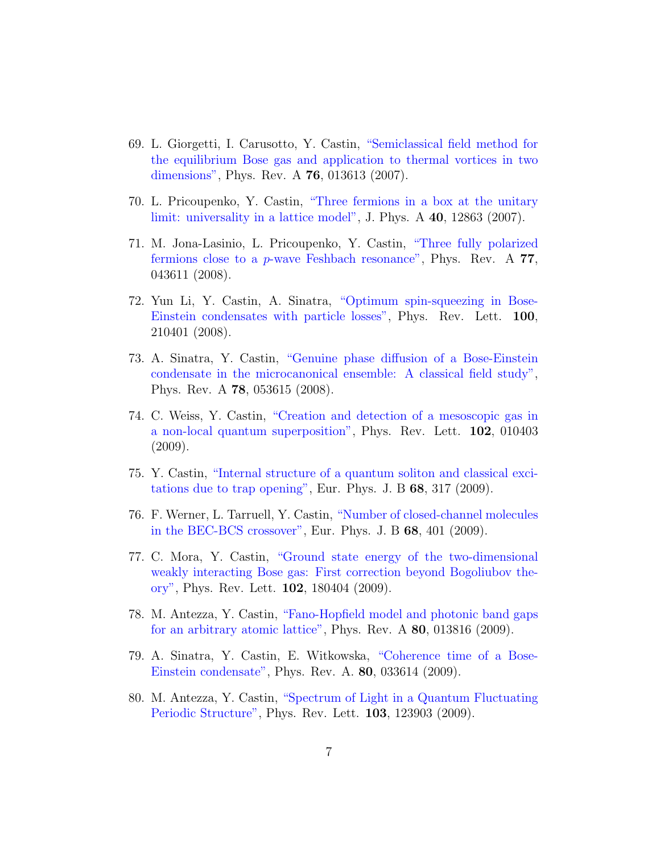- 69. L. Giorgetti, I. Carusotto, Y. Castin, ["Semiclassical field method for](https://hal.archives-ouvertes.fr/hal-00145190) [the equilibrium Bose gas and application to thermal vortices in two](https://hal.archives-ouvertes.fr/hal-00145190) [dimensions",](https://hal.archives-ouvertes.fr/hal-00145190) Phys. Rev. A 76, 013613 (2007).
- 70. L. Pricoupenko, Y. Castin, ["Three fermions in a box at the unitary](https://hal.archives-ouvertes.fr/hal-00145589) [limit: universality in a lattice model",](https://hal.archives-ouvertes.fr/hal-00145589) J. Phys. A 40, 12863 (2007).
- 71. M. Jona-Lasinio, L. Pricoupenko, Y. Castin, ["Three fully polarized](https://hal.archives-ouvertes.fr/hal-00166351) fermions close to a p[-wave Feshbach resonance",](https://hal.archives-ouvertes.fr/hal-00166351) Phys. Rev. A 77, 043611 (2008).
- 72. Yun Li, Y. Castin, A. Sinatra, ["Optimum spin-squeezing in Bose-](https://hal.archives-ouvertes.fr/hal-00202464)[Einstein condensates with particle losses",](https://hal.archives-ouvertes.fr/hal-00202464) Phys. Rev. Lett. 100, 210401 (2008).
- 73. A. Sinatra, Y. Castin, ["Genuine phase diffusion of a Bose-Einstein](https://hal.archives-ouvertes.fr/hal-00310488) [condensate in the microcanonical ensemble: A classical field study",](https://hal.archives-ouvertes.fr/hal-00310488) Phys. Rev. A 78, 053615 (2008).
- 74. C. Weiss, Y. Castin, ["Creation and detection of a mesoscopic gas in](https://hal.archives-ouvertes.fr/hal-00289431) [a non-local quantum superposition",](https://hal.archives-ouvertes.fr/hal-00289431) Phys. Rev. Lett. 102, 010403 (2009).
- 75. Y. Castin, ["Internal structure of a quantum soliton and classical exci](https://hal.archives-ouvertes.fr/hal-00296633)[tations due to trap opening",](https://hal.archives-ouvertes.fr/hal-00296633) Eur. Phys. J. B  $68$ ,  $317$  (2009).
- 76. F. Werner, L. Tarruell, Y. Castin, ["Number of closed-channel molecules](https://hal.archives-ouvertes.fr/hal-00292255) [in the BEC-BCS crossover",](https://hal.archives-ouvertes.fr/hal-00292255) Eur. Phys. J. B 68, 401 (2009).
- 77. C. Mora, Y. Castin, ["Ground state energy of the two-dimensional](https://hal.archives-ouvertes.fr/hal-00384876) [weakly interacting Bose gas: First correction beyond Bogoliubov the](https://hal.archives-ouvertes.fr/hal-00384876)[ory",](https://hal.archives-ouvertes.fr/hal-00384876) Phys. Rev. Lett. 102, 180404 (2009).
- 78. M. Antezza, Y. Castin, ["Fano-Hopfield model and photonic band gaps](https://hal.archives-ouvertes.fr/hal-00406429) [for an arbitrary atomic lattice",](https://hal.archives-ouvertes.fr/hal-00406429) Phys. Rev. A 80, 013816 (2009).
- 79. A. Sinatra, Y. Castin, E. Witkowska, ["Coherence time of a Bose-](https://hal.archives-ouvertes.fr/hal-00402158)[Einstein condensate",](https://hal.archives-ouvertes.fr/hal-00402158) Phys. Rev. A. 80, 033614 (2009).
- 80. M. Antezza, Y. Castin, ["Spectrum of Light in a Quantum Fluctuating](https://hal.archives-ouvertes.fr/hal-00365761) [Periodic Structure",](https://hal.archives-ouvertes.fr/hal-00365761) Phys. Rev. Lett. 103, 123903 (2009).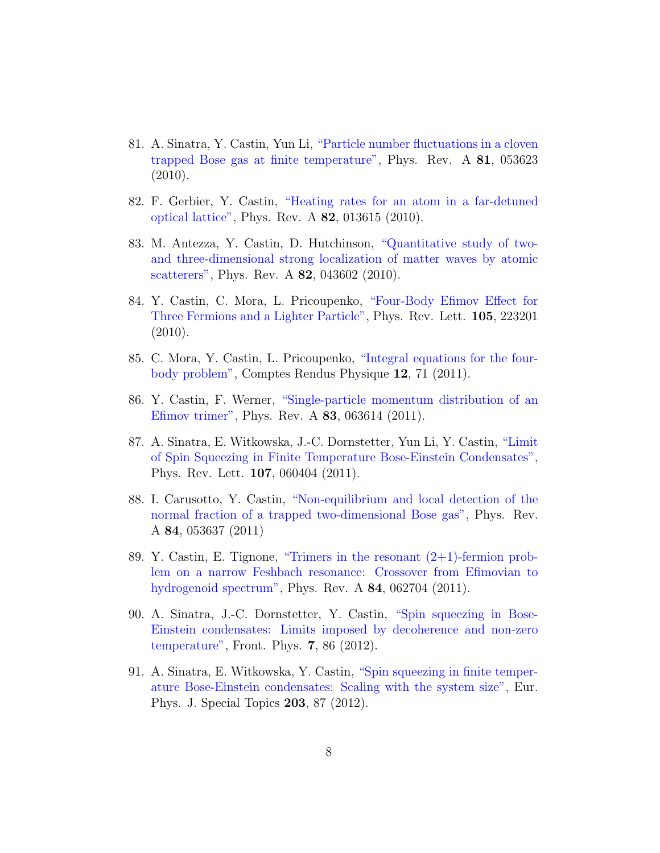- 81. A. Sinatra, Y. Castin, Yun Li, ["Particle number fluctuations in a cloven](https://hal.archives-ouvertes.fr/hal-00460982) [trapped Bose gas at finite temperature",](https://hal.archives-ouvertes.fr/hal-00460982) Phys. Rev. A 81, 053623 (2010).
- 82. F. Gerbier, Y. Castin, ["Heating rates for an atom in a far-detuned](https://hal.archives-ouvertes.fr/hal-00460263) [optical lattice",](https://hal.archives-ouvertes.fr/hal-00460263) Phys. Rev. A 82, 013615 (2010).
- 83. M. Antezza, Y. Castin, D. Hutchinson, ["Quantitative study of two](https://hal.archives-ouvertes.fr/hal-00494324)[and three-dimensional strong localization of matter waves by atomic](https://hal.archives-ouvertes.fr/hal-00494324) [scatterers",](https://hal.archives-ouvertes.fr/hal-00494324) Phys. Rev. A 82, 043602 (2010).
- 84. Y. Castin, C. Mora, L. Pricoupenko, ["Four-Body Efimov Effect for](https://hal.archives-ouvertes.fr/hal-00494915) [Three Fermions and a Lighter Particle",](https://hal.archives-ouvertes.fr/hal-00494915) Phys. Rev. Lett. 105, 223201 (2010).
- 85. C. Mora, Y. Castin, L. Pricoupenko, ["Integral equations for the four](https://hal.archives-ouvertes.fr/hal-00555512)[body problem",](https://hal.archives-ouvertes.fr/hal-00555512) Comptes Rendus Physique 12, 71 (2011).
- 86. Y. Castin, F. Werner, ["Single-particle momentum distribution of an](https://hal.archives-ouvertes.fr/hal-00580078) [Efimov trimer",](https://hal.archives-ouvertes.fr/hal-00580078) Phys. Rev. A 83, 063614 (2011).
- 87. A. Sinatra, E. Witkowska, J.-C. Dornstetter, Yun Li, Y. Castin, ["Limit](https://hal.archives-ouvertes.fr/hal-00584722) [of Spin Squeezing in Finite Temperature Bose-Einstein Condensates",](https://hal.archives-ouvertes.fr/hal-00584722) Phys. Rev. Lett. 107, 060404 (2011).
- 88. I. Carusotto, Y. Castin, ["Non-equilibrium and local detection of the](https://hal.archives-ouvertes.fr/hal-00575031) [normal fraction of a trapped two-dimensional Bose gas",](https://hal.archives-ouvertes.fr/hal-00575031) Phys. Rev. A 84, 053637 (2011)
- 89. Y. Castin, E. Tignone, ["Trimers in the resonant \(2+1\)-fermion prob](https://hal.archives-ouvertes.fr/hal-00607657)[lem on a narrow Feshbach resonance: Crossover from Efimovian to](https://hal.archives-ouvertes.fr/hal-00607657) [hydrogenoid spectrum",](https://hal.archives-ouvertes.fr/hal-00607657) Phys. Rev. A 84, 062704 (2011).
- 90. A. Sinatra, J.-C. Dornstetter, Y. Castin, ["Spin squeezing in Bose-](https://hal.archives-ouvertes.fr/hal-00621279)[Einstein condensates: Limits imposed by decoherence and non-zero](https://hal.archives-ouvertes.fr/hal-00621279) [temperature",](https://hal.archives-ouvertes.fr/hal-00621279) Front. Phys. 7, 86 (2012).
- 91. A. Sinatra, E. Witkowska, Y. Castin, ["Spin squeezing in finite temper](https://hal.archives-ouvertes.fr/hal-00652808)[ature Bose-Einstein condensates: Scaling with the system size",](https://hal.archives-ouvertes.fr/hal-00652808) Eur. Phys. J. Special Topics 203, 87 (2012).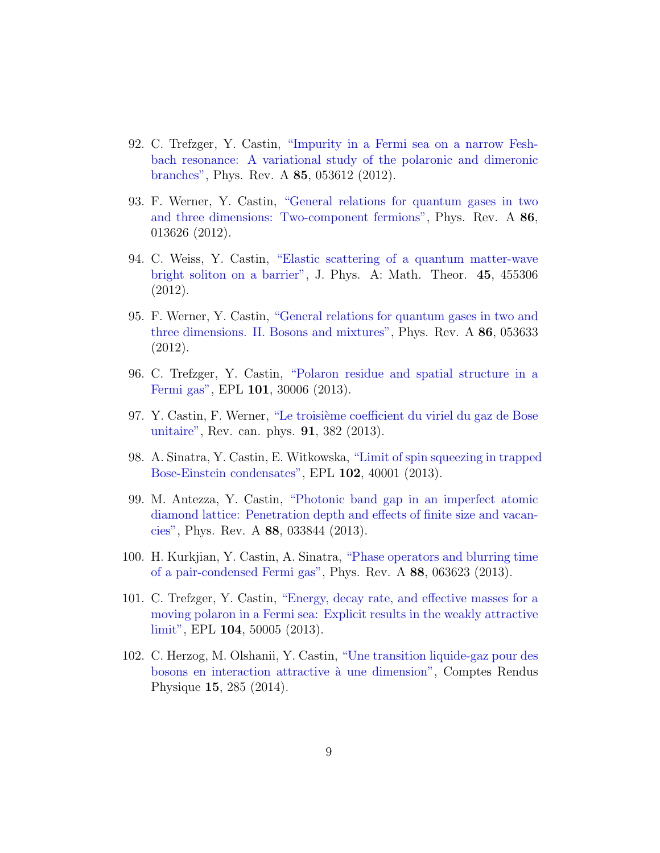- 92. C. Trefzger, Y. Castin, ["Impurity in a Fermi sea on a narrow Fesh](https://hal.archives-ouvertes.fr/hal-01312796)[bach resonance: A variational study of the polaronic and dimeronic](https://hal.archives-ouvertes.fr/hal-01312796) [branches",](https://hal.archives-ouvertes.fr/hal-01312796) Phys. Rev. A 85, 053612 (2012).
- 93. F. Werner, Y. Castin, ["General relations for quantum gases in two](https://hal.archives-ouvertes.fr/hal-00687524) [and three dimensions: Two-component fermions",](https://hal.archives-ouvertes.fr/hal-00687524) Phys. Rev. A 86, 013626 (2012).
- 94. C. Weiss, Y. Castin, ["Elastic scattering of a quantum matter-wave](https://hal.archives-ouvertes.fr/hal-00721564) [bright soliton on a barrier",](https://hal.archives-ouvertes.fr/hal-00721564) J. Phys. A: Math. Theor. 45, 455306 (2012).
- 95. F. Werner, Y. Castin, ["General relations for quantum gases in two and](https://hal.archives-ouvertes.fr/hal-00739099) [three dimensions. II. Bosons and mixtures",](https://hal.archives-ouvertes.fr/hal-00739099) Phys. Rev. A 86, 053633 (2012).
- 96. C. Trefzger, Y. Castin, ["Polaron residue and spatial structure in a](https://hal.archives-ouvertes.fr/hal-00747260) [Fermi gas",](https://hal.archives-ouvertes.fr/hal-00747260) EPL 101, 30006 (2013).
- 97. Y. Castin, F. Werner, "Le troisième coefficient du viriel du gaz de Bose [unitaire",](https://hal.archives-ouvertes.fr/hal-00768515) Rev. can. phys. 91, 382 (2013).
- 98. A. Sinatra, Y. Castin, E. Witkowska, ["Limit of spin squeezing in trapped](https://hal.archives-ouvertes.fr/hal-00796178) [Bose-Einstein condensates",](https://hal.archives-ouvertes.fr/hal-00796178) EPL 102, 40001 (2013).
- 99. M. Antezza, Y. Castin, ["Photonic band gap in an imperfect atomic](https://hal.archives-ouvertes.fr/hal-00818327) [diamond lattice: Penetration depth and effects of finite size and vacan](https://hal.archives-ouvertes.fr/hal-00818327)[cies",](https://hal.archives-ouvertes.fr/hal-00818327) Phys. Rev. A 88, 033844 (2013).
- 100. H. Kurkjian, Y. Castin, A. Sinatra, ["Phase operators and blurring time](https://hal.archives-ouvertes.fr/hal-00848700) [of a pair-condensed Fermi gas",](https://hal.archives-ouvertes.fr/hal-00848700) Phys. Rev. A 88, 063623 (2013).
- 101. C. Trefzger, Y. Castin, ["Energy, decay rate, and effective masses for a](https://hal.archives-ouvertes.fr/hal-00847562) [moving polaron in a Fermi sea: Explicit results in the weakly attractive](https://hal.archives-ouvertes.fr/hal-00847562) [limit",](https://hal.archives-ouvertes.fr/hal-00847562) EPL 104, 50005 (2013).
- 102. C. Herzog, M. Olshanii, Y. Castin, ["Une transition liquide-gaz pour des](https://hal.archives-ouvertes.fr/hal-00904756) [bosons en interaction attractive `a une dimension",](https://hal.archives-ouvertes.fr/hal-00904756) Comptes Rendus Physique 15, 285 (2014).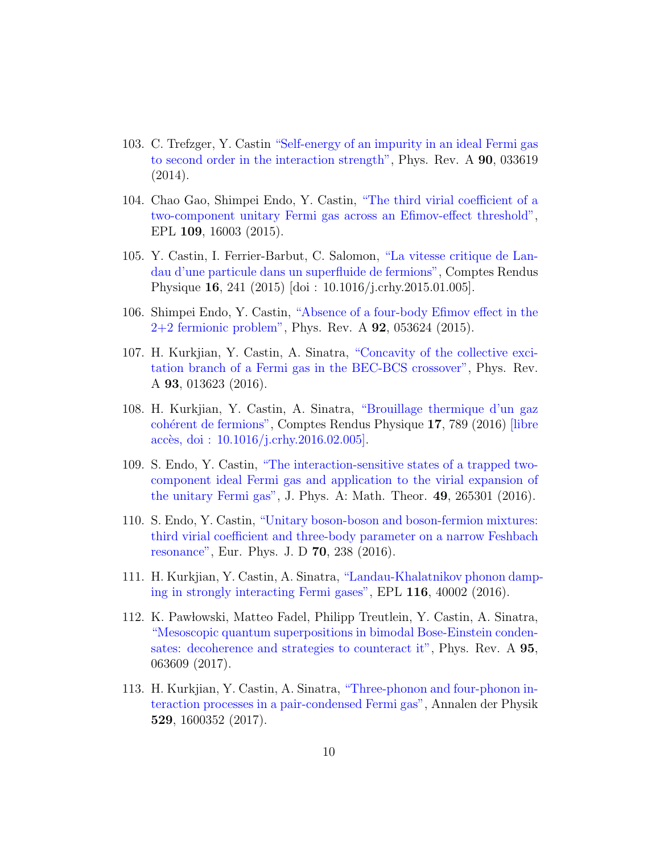- 103. C. Trefzger, Y. Castin ["Self-energy of an impurity in an ideal Fermi gas](https://hal.archives-ouvertes.fr/hal-00995768) [to second order in the interaction strength",](https://hal.archives-ouvertes.fr/hal-00995768) Phys. Rev. A 90, 033619 (2014).
- 104. Chao Gao, Shimpei Endo, Y. Castin, ["The third virial coefficient of a](https://hal.archives-ouvertes.fr/hal-01078973) [two-component unitary Fermi gas across an Efimov-effect threshold",](https://hal.archives-ouvertes.fr/hal-01078973) EPL 109, 16003 (2015).
- 105. Y. Castin, I. Ferrier-Barbut, C. Salomon, ["La vitesse critique de Lan](https://hal.archives-ouvertes.fr/hal-01053706)[dau d'une particule dans un superfluide de fermions",](https://hal.archives-ouvertes.fr/hal-01053706) Comptes Rendus Physique 16, 241 (2015) [doi : 10.1016/j.crhy.2015.01.005].
- 106. Shimpei Endo, Y. Castin, ["Absence of a four-body Efimov effect in the](https://hal.archives-ouvertes.fr/hal-01178707) [2+2 fermionic problem",](https://hal.archives-ouvertes.fr/hal-01178707) Phys. Rev. A 92, 053624 (2015).
- 107. H. Kurkjian, Y. Castin, A. Sinatra, ["Concavity of the collective exci](https://hal.archives-ouvertes.fr/hal-01228798)[tation branch of a Fermi gas in the BEC-BCS crossover",](https://hal.archives-ouvertes.fr/hal-01228798) Phys. Rev. A 93, 013623 (2016).
- 108. H. Kurkjian, Y. Castin, A. Sinatra, ["Brouillage thermique d'un gaz](https://hal.archives-ouvertes.fr/hal-01118346) cohérent de fermions", Comptes Rendus Physique 17, 789 (2016) [\[libre](http://authors.elsevier.com/sd/article/S1631070516000062) accès, doi :  $10.1016/j.crhy.2016.02.005$ .
- 109. S. Endo, Y. Castin, ["The interaction-sensitive states of a trapped two](https://hal.archives-ouvertes.fr/hal-01246611)[component ideal Fermi gas and application to the virial expansion of](https://hal.archives-ouvertes.fr/hal-01246611) [the unitary Fermi gas",](https://hal.archives-ouvertes.fr/hal-01246611) J. Phys. A: Math. Theor. 49, 265301 (2016).
- 110. S. Endo, Y. Castin, ["Unitary boson-boson and boson-fermion mixtures:](https://hal.archives-ouvertes.fr/hal-01350476) [third virial coefficient and three-body parameter on a narrow Feshbach](https://hal.archives-ouvertes.fr/hal-01350476) [resonance",](https://hal.archives-ouvertes.fr/hal-01350476) Eur. Phys. J. D 70, 238 (2016).
- 111. H. Kurkjian, Y. Castin, A. Sinatra, ["Landau-Khalatnikov phonon damp](https://hal.archives-ouvertes.fr/hal-01350507)[ing in strongly interacting Fermi gases",](https://hal.archives-ouvertes.fr/hal-01350507) EPL 116, 40002 (2016).
- 112. K. Paw lowski, Matteo Fadel, Philipp Treutlein, Y. Castin, A. Sinatra, ["Mesoscopic quantum superpositions in bimodal Bose-Einstein conden](https://hal.archives-ouvertes.fr/hal-01492090)[sates: decoherence and strategies to counteract it",](https://hal.archives-ouvertes.fr/hal-01492090) Phys. Rev. A 95, 063609 (2017).
- 113. H. Kurkjian, Y. Castin, A. Sinatra, ["Three-phonon and four-phonon in](https://hal.archives-ouvertes.fr/hal-01392846)[teraction processes in a pair-condensed Fermi gas",](https://hal.archives-ouvertes.fr/hal-01392846) Annalen der Physik 529, 1600352 (2017).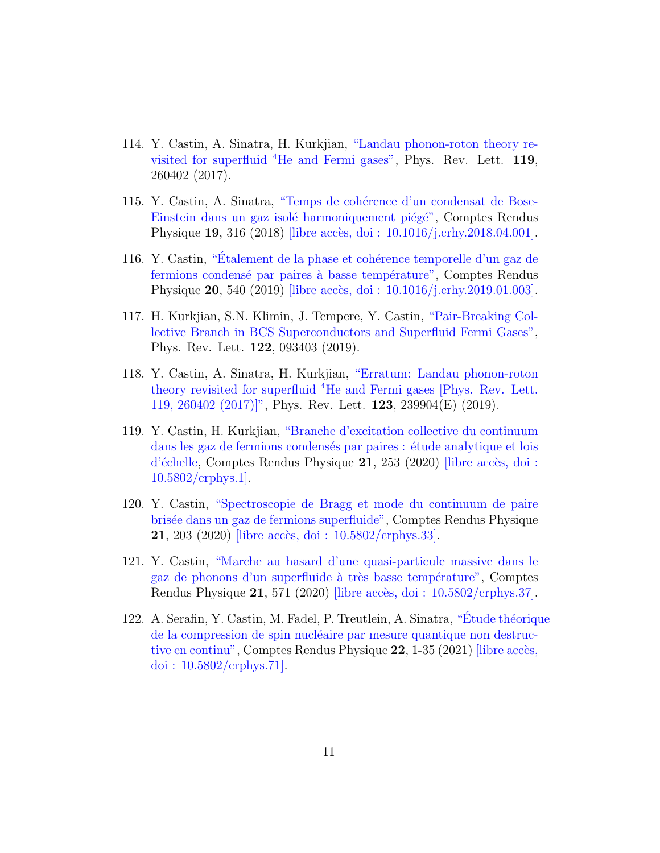- 114. Y. Castin, A. Sinatra, H. Kurkjian, ["Landau phonon-roton theory re](https://hal.archives-ouvertes.fr/hal-01570314)visited for superfluid  ${}^{4}$ [He and Fermi gases",](https://hal.archives-ouvertes.fr/hal-01570314) Phys. Rev. Lett. 119, 260402 (2017).
- 115. Y. Castin, A. Sinatra, "Temps de cohérence d'un condensat de Bose-Einstein dans un gaz isolé harmoniquement piégé", Comptes Rendus Physique 19, 316 (2018) [libre accès, doi : 10.1016/j.crhy.2018.04.001].
- 116. Y. Castin, "Étalement de la phase et cohérence temporelle d'un gaz de fermions condensé par paires à basse température", Comptes Rendus Physique 20, 540 (2019) [libre accès, doi : 10.1016/j.crhy.2019.01.003].
- 117. H. Kurkjian, S.N. Klimin, J. Tempere, Y. Castin, ["Pair-Breaking Col](https://hal.archives-ouvertes.fr/hal-01782342)[lective Branch in BCS Superconductors and Superfluid Fermi Gases",](https://hal.archives-ouvertes.fr/hal-01782342) Phys. Rev. Lett. 122, 093403 (2019).
- 118. Y. Castin, A. Sinatra, H. Kurkjian, ["Erratum: Landau phonon-roton](https://hal.archives-ouvertes.fr/hal-02396919) theory revisited for superfluid <sup>4</sup>[He and Fermi gases \[Phys. Rev. Lett.](https://hal.archives-ouvertes.fr/hal-02396919) [119, 260402 \(2017\)\]",](https://hal.archives-ouvertes.fr/hal-02396919) Phys. Rev. Lett. 123, 239904(E) (2019).
- 119. Y. Castin, H. Kurkjian, ["Branche d'excitation collective du continuum](https://hal.archives-ouvertes.fr/hal-02196152) dans les gaz de fermions condensés par paires : étude analytique et lois  $d'$ échelle, Comptes Rendus Physique 21, 253 (2020) [libre accès, doi :  $10.5802$ /crphys.1.
- 120. Y. Castin, ["Spectroscopie de Bragg et mode du continuum de paire](https://hal.archives-ouvertes.fr/hal-02377014) [bris´ee dans un gaz de fermions superfluide",](https://hal.archives-ouvertes.fr/hal-02377014) Comptes Rendus Physique **21**, 203 (2020) [libre accès, doi :  $10.5802 / \text{crphys.}33$ ].
- 121. Y. Castin, ["Marche au hasard d'une quasi-particule massive dans le](https://hal.archives-ouvertes.fr/hal-02895083) gaz de phonons d'un superfluide à très basse température", Comptes Rendus Physique  $21,571$  (2020) [libre accès, doi :  $10.5802$ /crphys.37].
- 122. A. Serafin, Y. Castin, M. Fadel, P. Treutlein, A. Sinatra, "Étude théorique de la compression de spin nucléaire par mesure quantique non destruc[tive en continu",](https://hal.archives-ouvertes.fr/hal-03083577) Comptes Rendus Physique  $22$ , 1-35 (2021) [libre accès, doi :  $10.5802 / \text{crphys}.71$ .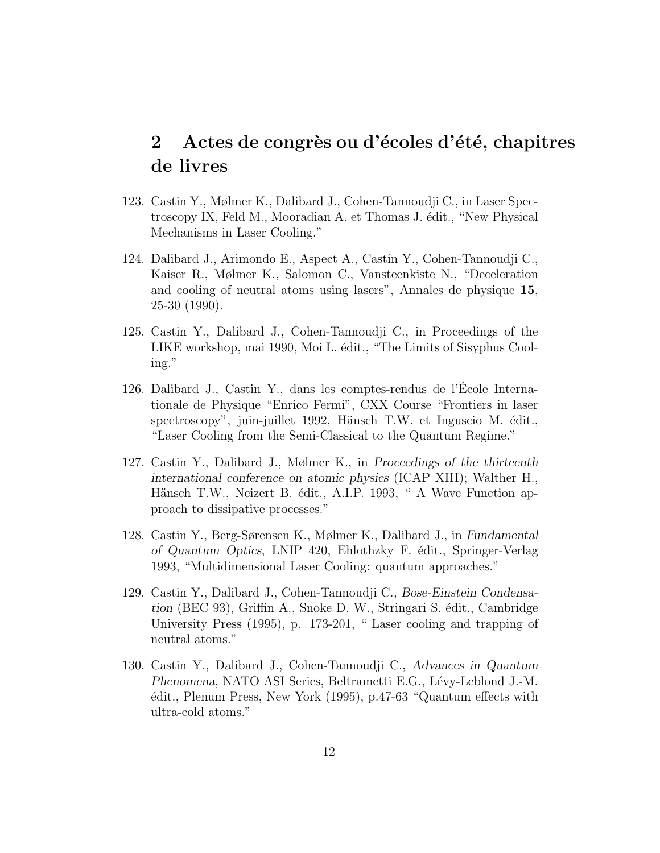# 2 Actes de congrès ou d'écoles d'été, chapitres de livres

- 123. Castin Y., Mølmer K., Dalibard J., Cohen-Tannoudji C., in Laser Spectroscopy IX, Feld M., Mooradian A. et Thomas J. édit., "New Physical Mechanisms in Laser Cooling."
- 124. Dalibard J., Arimondo E., Aspect A., Castin Y., Cohen-Tannoudji C., Kaiser R., Mølmer K., Salomon C., Vansteenkiste N., "Deceleration and cooling of neutral atoms using lasers", Annales de physique 15, 25-30 (1990).
- 125. Castin Y., Dalibard J., Cohen-Tannoudji C., in Proceedings of the LIKE workshop, mai 1990, Moi L. édit., "The Limits of Sisyphus Cooling."
- 126. Dalibard J., Castin Y., dans les comptes-rendus de l'Ecole Interna- ´ tionale de Physique "Enrico Fermi", CXX Course "Frontiers in laser spectroscopy", juin-juillet 1992, Hänsch T.W. et Inguscio M. édit., "Laser Cooling from the Semi-Classical to the Quantum Regime."
- 127. Castin Y., Dalibard J., Mølmer K., in Proceedings of the thirteenth international conference on atomic physics (ICAP XIII); Walther H., Hänsch T.W., Neizert B. édit., A.I.P. 1993, " A Wave Function approach to dissipative processes."
- 128. Castin Y., Berg-Sørensen K., Mølmer K., Dalibard J., in Fundamental of Quantum Optics, LNIP 420, Ehlothzky F. édit., Springer-Verlag 1993, "Multidimensional Laser Cooling: quantum approaches."
- 129. Castin Y., Dalibard J., Cohen-Tannoudji C., Bose-Einstein Condensation (BEC 93), Griffin A., Snoke D. W., Stringari S. édit., Cambridge University Press (1995), p. 173-201, " Laser cooling and trapping of neutral atoms."
- 130. Castin Y., Dalibard J., Cohen-Tannoudji C., Advances in Quantum Phenomena, NATO ASI Series, Beltrametti E.G., Lévy-Leblond J.-M. ´edit., Plenum Press, New York (1995), p.47-63 "Quantum effects with ultra-cold atoms."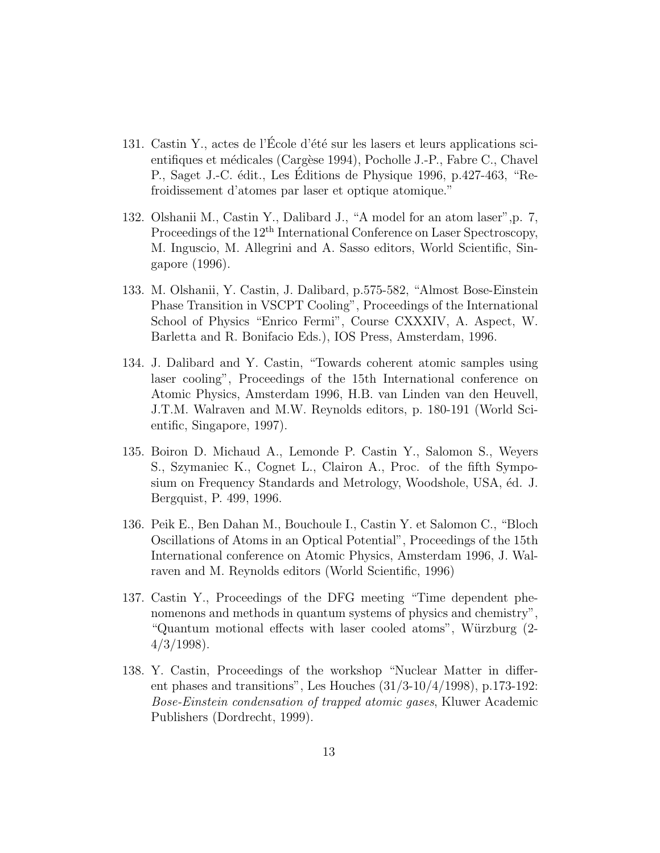- 131. Castin Y., actes de l'École d'été sur les lasers et leurs applications scientifiques et médicales (Cargèse 1994), Pocholle J.-P., Fabre C., Chavel P., Saget J.-C. édit., Les Éditions de Physique 1996, p.427-463, "Refroidissement d'atomes par laser et optique atomique."
- 132. Olshanii M., Castin Y., Dalibard J., "A model for an atom laser",p. 7, Proceedings of the 12<sup>th</sup> International Conference on Laser Spectroscopy, M. Inguscio, M. Allegrini and A. Sasso editors, World Scientific, Singapore (1996).
- 133. M. Olshanii, Y. Castin, J. Dalibard, p.575-582, "Almost Bose-Einstein Phase Transition in VSCPT Cooling", Proceedings of the International School of Physics "Enrico Fermi", Course CXXXIV, A. Aspect, W. Barletta and R. Bonifacio Eds.), IOS Press, Amsterdam, 1996.
- 134. J. Dalibard and Y. Castin, "Towards coherent atomic samples using laser cooling", Proceedings of the 15th International conference on Atomic Physics, Amsterdam 1996, H.B. van Linden van den Heuvell, J.T.M. Walraven and M.W. Reynolds editors, p. 180-191 (World Scientific, Singapore, 1997).
- 135. Boiron D. Michaud A., Lemonde P. Castin Y., Salomon S., Weyers S., Szymaniec K., Cognet L., Clairon A., Proc. of the fifth Symposium on Frequency Standards and Metrology, Woodshole, USA, éd. J. Bergquist, P. 499, 1996.
- 136. Peik E., Ben Dahan M., Bouchoule I., Castin Y. et Salomon C., "Bloch Oscillations of Atoms in an Optical Potential", Proceedings of the 15th International conference on Atomic Physics, Amsterdam 1996, J. Walraven and M. Reynolds editors (World Scientific, 1996)
- 137. Castin Y., Proceedings of the DFG meeting "Time dependent phenomenons and methods in quantum systems of physics and chemistry", "Quantum motional effects with laser cooled atoms", Würzburg (2- $4/3/1998$ ).
- 138. Y. Castin, Proceedings of the workshop "Nuclear Matter in different phases and transitions", Les Houches  $(31/3-10/4/1998)$ , p.173-192: Bose-Einstein condensation of trapped atomic gases, Kluwer Academic Publishers (Dordrecht, 1999).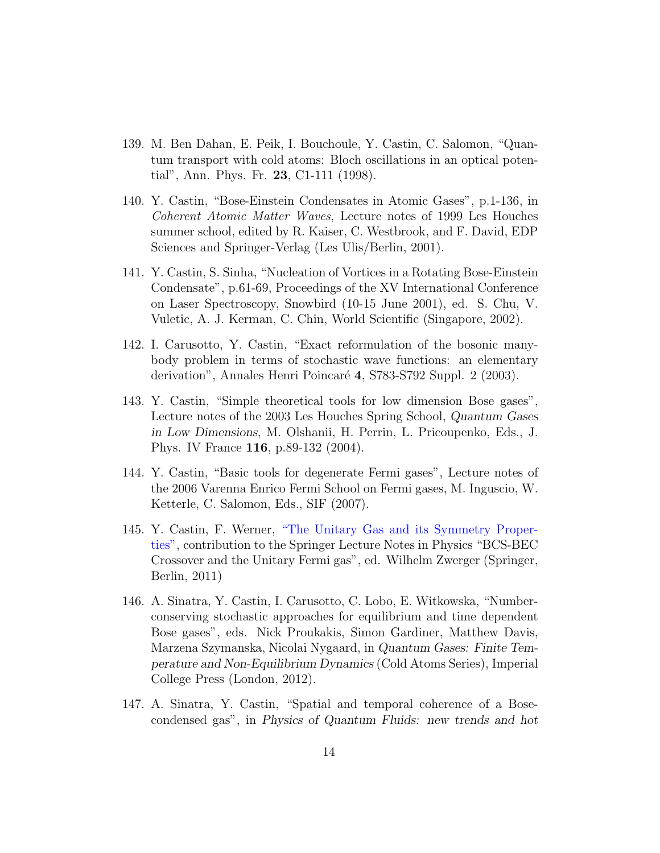- 139. M. Ben Dahan, E. Peik, I. Bouchoule, Y. Castin, C. Salomon, "Quantum transport with cold atoms: Bloch oscillations in an optical potential", Ann. Phys. Fr. 23, C1-111 (1998).
- 140. Y. Castin, "Bose-Einstein Condensates in Atomic Gases", p.1-136, in Coherent Atomic Matter Waves, Lecture notes of 1999 Les Houches summer school, edited by R. Kaiser, C. Westbrook, and F. David, EDP Sciences and Springer-Verlag (Les Ulis/Berlin, 2001).
- 141. Y. Castin, S. Sinha, "Nucleation of Vortices in a Rotating Bose-Einstein Condensate", p.61-69, Proceedings of the XV International Conference on Laser Spectroscopy, Snowbird (10-15 June 2001), ed. S. Chu, V. Vuletic, A. J. Kerman, C. Chin, World Scientific (Singapore, 2002).
- 142. I. Carusotto, Y. Castin, "Exact reformulation of the bosonic manybody problem in terms of stochastic wave functions: an elementary derivation", Annales Henri Poincaré 4, S783-S792 Suppl. 2 (2003).
- 143. Y. Castin, "Simple theoretical tools for low dimension Bose gases", Lecture notes of the 2003 Les Houches Spring School, Quantum Gases in Low Dimensions, M. Olshanii, H. Perrin, L. Pricoupenko, Eds., J. Phys. IV France 116, p.89-132 (2004).
- 144. Y. Castin, "Basic tools for degenerate Fermi gases", Lecture notes of the 2006 Varenna Enrico Fermi School on Fermi gases, M. Inguscio, W. Ketterle, C. Salomon, Eds., SIF (2007).
- 145. Y. Castin, F. Werner, ["The Unitary Gas and its Symmetry Proper](https://hal.archives-ouvertes.fr/hal-00576619)[ties",](https://hal.archives-ouvertes.fr/hal-00576619) contribution to the Springer Lecture Notes in Physics "BCS-BEC Crossover and the Unitary Fermi gas", ed. Wilhelm Zwerger (Springer, Berlin, 2011)
- 146. A. Sinatra, Y. Castin, I. Carusotto, C. Lobo, E. Witkowska, "Numberconserving stochastic approaches for equilibrium and time dependent Bose gases", eds. Nick Proukakis, Simon Gardiner, Matthew Davis, Marzena Szymanska, Nicolai Nygaard, in Quantum Gases: Finite Temperature and Non-Equilibrium Dynamics (Cold Atoms Series), Imperial College Press (London, 2012).
- 147. A. Sinatra, Y. Castin, "Spatial and temporal coherence of a Bosecondensed gas", in Physics of Quantum Fluids: new trends and hot